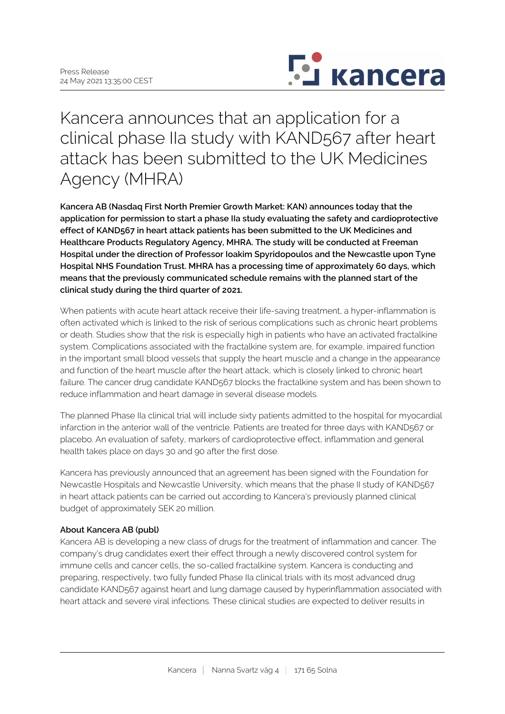

Kancera announces that an application for a clinical phase IIa study with KAND567 after heart attack has been submitted to the UK Medicines Agency (MHRA)

**Kancera AB (Nasdaq First North Premier Growth Market: KAN) announces today that the application for permission to start a phase IIa study evaluating the safety and cardioprotective effect of KAND567 in heart attack patients has been submitted to the UK Medicines and Healthcare Products Regulatory Agency, MHRA. The study will be conducted at Freeman Hospital under the direction of Professor Ioakim Spyridopoulos and the Newcastle upon Tyne Hospital NHS Foundation Trust. MHRA has a processing time of approximately 60 days, which means that the previously communicated schedule remains with the planned start of the clinical study during the third quarter of 2021.**

When patients with acute heart attack receive their life-saving treatment, a hyper-inflammation is often activated which is linked to the risk of serious complications such as chronic heart problems or death. Studies show that the risk is especially high in patients who have an activated fractalkine system. Complications associated with the fractalkine system are, for example, impaired function in the important small blood vessels that supply the heart muscle and a change in the appearance and function of the heart muscle after the heart attack, which is closely linked to chronic heart failure. The cancer drug candidate KAND567 blocks the fractalkine system and has been shown to reduce inflammation and heart damage in several disease models.

The planned Phase IIa clinical trial will include sixty patients admitted to the hospital for myocardial infarction in the anterior wall of the ventricle. Patients are treated for three days with KAND567 or placebo. An evaluation of safety, markers of cardioprotective effect, inflammation and general health takes place on days 30 and 90 after the first dose.

Kancera has previously announced that an agreement has been signed with the Foundation for Newcastle Hospitals and Newcastle University, which means that the phase II study of KAND567 in heart attack patients can be carried out according to Kancera's previously planned clinical budget of approximately SEK 20 million.

## **About Kancera AB (publ)**

Kancera AB is developing a new class of drugs for the treatment of inflammation and cancer. The company's drug candidates exert their effect through a newly discovered control system for immune cells and cancer cells, the so-called fractalkine system. Kancera is conducting and preparing, respectively, two fully funded Phase IIa clinical trials with its most advanced drug candidate KAND567 against heart and lung damage caused by hyperinflammation associated with heart attack and severe viral infections. These clinical studies are expected to deliver results in